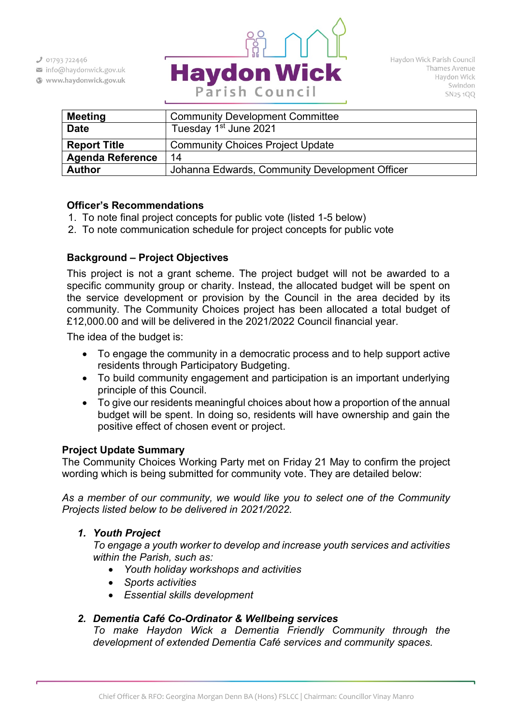$301793722446$ 

info@haydonwick.gov.uk

Www.haydonwick.gov.uk



| <b>Meeting</b>          | <b>Community Development Committee</b>         |
|-------------------------|------------------------------------------------|
| <b>Date</b>             | Tuesday 1 <sup>st</sup> June 2021              |
| <b>Report Title</b>     | <b>Community Choices Project Update</b>        |
| <b>Agenda Reference</b> | 14                                             |
| <b>Author</b>           | Johanna Edwards, Community Development Officer |

## **Officer's Recommendations**

- 1. To note final project concepts for public vote (listed 1-5 below)
- 2. To note communication schedule for project concepts for public vote

# **Background – Project Objectives**

This project is not a grant scheme. The project budget will not be awarded to a specific community group or charity. Instead, the allocated budget will be spent on the service development or provision by the Council in the area decided by its community. The Community Choices project has been allocated a total budget of £12,000.00 and will be delivered in the 2021/2022 Council financial year.

The idea of the budget is:

- To engage the community in a democratic process and to help support active residents through Participatory Budgeting.
- To build community engagement and participation is an important underlying principle of this Council.
- To give our residents meaningful choices about how a proportion of the annual budget will be spent. In doing so, residents will have ownership and gain the positive effect of chosen event or project.

### **Project Update Summary**

The Community Choices Working Party met on Friday 21 May to confirm the project wording which is being submitted for community vote. They are detailed below:

*As a member of our community, we would like you to select one of the Community Projects listed below to be delivered in 2021/2022.*

# *1. Youth Project*

*To engage a youth worker to develop and increase youth services and activities within the Parish, such as:* 

- *Youth holiday workshops and activities*
- *Sports activities*
- *Essential skills development*

# *2. Dementia Café Co-Ordinator & Wellbeing services*

*To make Haydon Wick a Dementia Friendly Community through the development of extended Dementia Café services and community spaces.*